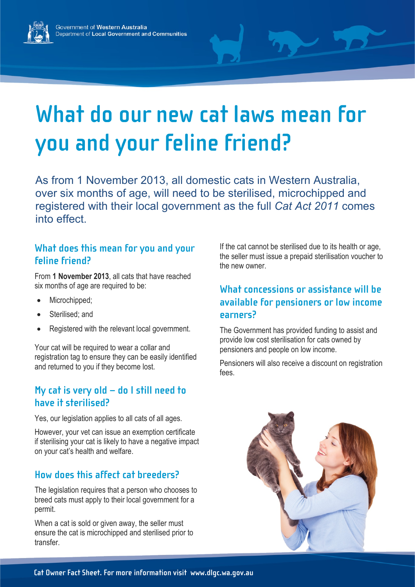

# **What do our new cat laws mean for you and your feline friend?**

As from 1 November 2013, all domestic cats in Western Australia, over six months of age, will need to be sterilised, microchipped and registered with their local government as the full *Cat Act 2011* comes into effect.

# **What does this mean for you and your feline friend?**

From **1 November 2013**, all cats that have reached six months of age are required to be:

- Microchipped;
- Sterilised; and
- Registered with the relevant local government.

Your cat will be required to wear a collar and registration tag to ensure they can be easily identified and returned to you if they become lost.

# **My cat is very old – do I still need to have it sterilised?**

Yes, our legislation applies to all cats of all ages.

However, your vet can issue an exemption certificate if sterilising your cat is likely to have a negative impact on your cat's health and welfare.

# **How does this affect cat breeders?**

The legislation requires that a person who chooses to breed cats must apply to their local government for a permit.

When a cat is sold or given away, the seller must ensure the cat is microchipped and sterilised prior to transfer.

If the cat cannot be sterilised due to its health or age, the seller must issue a prepaid sterilisation voucher to the new owner.

# **What concessions or assistance will be available for pensioners or low income earners?**

The Government has provided funding to assist and provide low cost sterilisation for cats owned by pensioners and people on low income.

Pensioners will also receive a discount on registration fees.